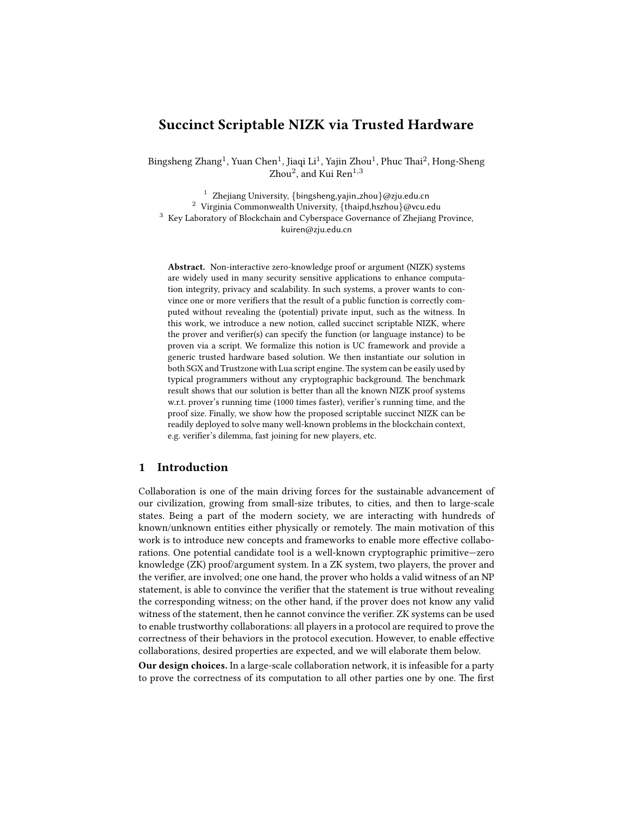# Succinct Scriptable NIZK via Trusted Hardware

Bingsheng Zhang<sup>1</sup>, Yuan Chen<sup>1</sup>, Jiaqi Li<sup>1</sup>, Yajin Zhou<sup>1</sup>, Phuc Thai<sup>2</sup>, Hong-Sheng  $Z$ hou $^2$ , and Kui Ren $^{1,3}$ 

<sup>1</sup> Zhejiang University, {bingsheng, yajin\_zhou}@zju.edu.cn <sup>2</sup> Virginia Commonwealth University, {thaipd,hszhou}@vcu.edu <sup>3</sup> Key Laboratory of Blockchain and Cyberspace Governance of Zhejiang Province, kuiren@zju.edu.cn

Abstract. Non-interactive zero-knowledge proof or argument (NIZK) systems are widely used in many security sensitive applications to enhance computation integrity, privacy and scalability. In such systems, a prover wants to convince one or more verifiers that the result of a public function is correctly computed without revealing the (potential) private input, such as the witness. In this work, we introduce a new notion, called succinct scriptable NIZK, where the prover and verifier(s) can specify the function (or language instance) to be proven via a script. We formalize this notion is UC framework and provide a generic trusted hardware based solution. We then instantiate our solution in both SGX and Trustzone with Lua script engine. The system can be easily used by typical programmers without any cryptographic background. The benchmark result shows that our solution is better than all the known NIZK proof systems w.r.t. prover's running time (1000 times faster), verifier's running time, and the proof size. Finally, we show how the proposed scriptable succinct NIZK can be readily deployed to solve many well-known problems in the blockchain context, e.g. verifier's dilemma, fast joining for new players, etc.

# 1 Introduction

Collaboration is one of the main driving forces for the sustainable advancement of our civilization, growing from small-size tributes, to cities, and then to large-scale states. Being a part of the modern society, we are interacting with hundreds of known/unknown entities either physically or remotely. The main motivation of this work is to introduce new concepts and frameworks to enable more effective collaborations. One potential candidate tool is a well-known cryptographic primitive—zero knowledge (ZK) proof/argument system. In a ZK system, two players, the prover and the verifier, are involved; one one hand, the prover who holds a valid witness of an NP statement, is able to convince the verifier that the statement is true without revealing the corresponding witness; on the other hand, if the prover does not know any valid witness of the statement, then he cannot convince the verifier. ZK systems can be used to enable trustworthy collaborations: all players in a protocol are required to prove the correctness of their behaviors in the protocol execution. However, to enable effective collaborations, desired properties are expected, and we will elaborate them below.

Our design choices. In a large-scale collaboration network, it is infeasible for a party to prove the correctness of its computation to all other parties one by one. The first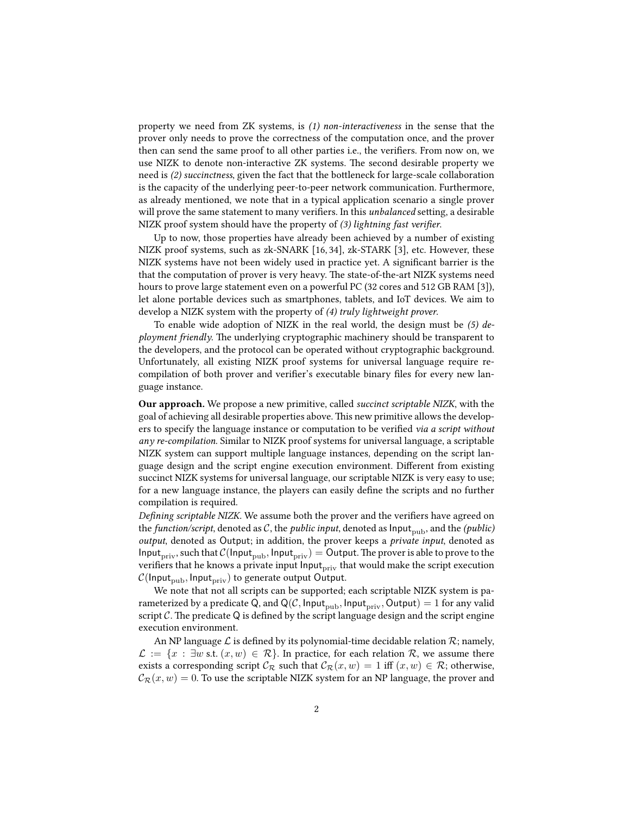property we need from ZK systems, is (1) non-interactiveness in the sense that the prover only needs to prove the correctness of the computation once, and the prover then can send the same proof to all other parties i.e., the verifiers. From now on, we use NIZK to denote non-interactive ZK systems. The second desirable property we need is (2) succinctness, given the fact that the bottleneck for large-scale collaboration is the capacity of the underlying peer-to-peer network communication. Furthermore, as already mentioned, we note that in a typical application scenario a single prover will prove the same statement to many verifiers. In this *unbalanced* setting, a desirable NIZK proof system should have the property of  $(3)$  lightning fast verifier.

Up to now, those properties have already been achieved by a number of existing NIZK proof systems, such as zk-SNARK [16, 34], zk-STARK [3], etc. However, these NIZK systems have not been widely used in practice yet. A significant barrier is the that the computation of prover is very heavy. The state-of-the-art NIZK systems need hours to prove large statement even on a powerful PC (32 cores and 512 GB RAM [3]), let alone portable devices such as smartphones, tablets, and IoT devices. We aim to develop a NIZK system with the property of (4) truly lightweight prover.

To enable wide adoption of NIZK in the real world, the design must be  $(5)$  deployment friendly. The underlying cryptographic machinery should be transparent to the developers, and the protocol can be operated without cryptographic background. Unfortunately, all existing NIZK proof systems for universal language require recompilation of both prover and verifier's executable binary files for every new language instance.

Our approach. We propose a new primitive, called succinct scriptable NIZK, with the goal of achieving all desirable properties above. This new primitive allows the developers to specify the language instance or computation to be verified via a script without any re-compilation. Similar to NIZK proof systems for universal language, a scriptable NIZK system can support multiple language instances, depending on the script language design and the script engine execution environment. Different from existing succinct NIZK systems for universal language, our scriptable NIZK is very easy to use; for a new language instance, the players can easily define the scripts and no further compilation is required.

Defining scriptable NIZK. We assume both the prover and the verifiers have agreed on the *function/script*, denoted as C, the *public input*, denoted as  $Input_{pub}$ , and the *(public)* output, denoted as Output; in addition, the prover keeps a private input, denoted as Input<sub>priv</sub>, such that  $C(\text{Input}_{pub}, \text{Input}_{priv}) = \text{Output}$ . The prover is able to prove to the verifiers that he knows a private input  $\text{Input}_{\text{priv}}$  that would make the script execution  $C($ Input<sub>pub</sub>, Input<sub>priv</sub>) to generate output Output.

We note that not all scripts can be supported; each scriptable NIZK system is parameterized by a predicate Q, and Q(C, Input<sub>pub</sub>, Input<sub>priv</sub>, Output) = 1 for any valid script  $C$ . The predicate Q is defined by the script language design and the script engine execution environment.

An NP language  $\mathcal L$  is defined by its polynomial-time decidable relation  $\mathcal R$ ; namely,  $\mathcal{L} := \{x : \exists w \text{ s.t. } (x, w) \in \mathcal{R}\}\.$  In practice, for each relation R, we assume there exists a corresponding script  $\mathcal{C}_{\mathcal{R}}$  such that  $\mathcal{C}_{\mathcal{R}}(x, w) = 1$  iff  $(x, w) \in \mathcal{R}$ ; otherwise,  $C_{\mathcal{R}}(x, w) = 0$ . To use the scriptable NIZK system for an NP language, the prover and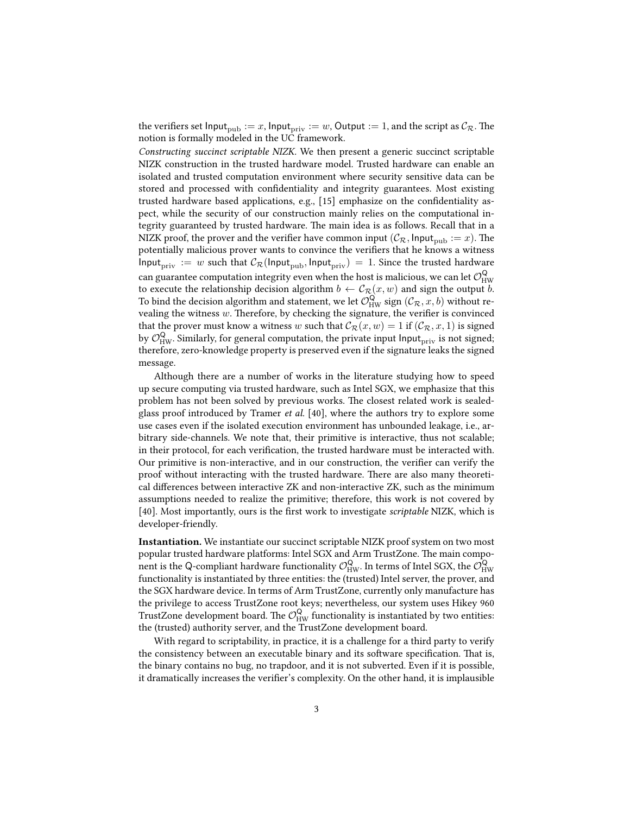the verifiers set Input<sub>pub</sub> := x, Input<sub>priv</sub> := w, Output := 1, and the script as  $\mathcal{C}_{\mathcal{R}}$ . The notion is formally modeled in the UC framework.

Constructing succinct scriptable NIZK. We then present a generic succinct scriptable NIZK construction in the trusted hardware model. Trusted hardware can enable an isolated and trusted computation environment where security sensitive data can be stored and processed with confidentiality and integrity guarantees. Most existing trusted hardware based applications, e.g., [15] emphasize on the confidentiality aspect, while the security of our construction mainly relies on the computational integrity guaranteed by trusted hardware. The main idea is as follows. Recall that in a NIZK proof, the prover and the verifier have common input  $(\mathcal{C}_{\mathcal{R}}, \mathsf{Input}_{\text{pub}} := x)$ . The potentially malicious prover wants to convince the verifiers that he knows a witness Input<sub>priv</sub> := w such that  $C_{\mathcal{R}}(\text{Input}_{\text{pub}}, \text{Input}_{\text{priv}}) = 1$ . Since the trusted hardware can guarantee computation integrity even when the host is malicious, we can let  $\mathcal{O}^{\mathsf{Q}}_{\mathsf{HW}}$ to execute the relationship decision algorithm  $b \leftarrow C_{\mathcal{R}}(x, w)$  and sign the output b. To bind the decision algorithm and statement, we let  $\mathcal{O}_{HW}^Q$  sign  $(\mathcal{C}_{\mathcal{R}}, x, b)$  without revealing the witness  $w$ . Therefore, by checking the signature, the verifier is convinced that the prover must know a witness w such that  $\mathcal{C}_{\mathcal{R}}(x, w) = 1$  if  $(\mathcal{C}_{\mathcal{R}}, x, 1)$  is signed by  $\mathcal{O}_{HW}^Q$ . Similarly, for general computation, the private input Input<sub>priv</sub> is not signed; therefore, zero-knowledge property is preserved even if the signature leaks the signed message.

Although there are a number of works in the literature studying how to speed up secure computing via trusted hardware, such as Intel SGX, we emphasize that this problem has not been solved by previous works. The closest related work is sealedglass proof introduced by Tramer et al. [40], where the authors try to explore some use cases even if the isolated execution environment has unbounded leakage, i.e., arbitrary side-channels. We note that, their primitive is interactive, thus not scalable; in their protocol, for each verification, the trusted hardware must be interacted with. Our primitive is non-interactive, and in our construction, the verifier can verify the proof without interacting with the trusted hardware. There are also many theoretical differences between interactive ZK and non-interactive ZK, such as the minimum assumptions needed to realize the primitive; therefore, this work is not covered by [40]. Most importantly, ours is the first work to investigate scriptable NIZK, which is developer-friendly.

Instantiation. We instantiate our succinct scriptable NIZK proof system on two most popular trusted hardware platforms: Intel SGX and Arm TrustZone. The main component is the Q-compliant hardware functionality  $\mathcal{O}^{\mathsf{Q}}_{\mathsf{HW}}$ . In terms of Intel SGX, the  $\mathcal{O}^{\mathsf{Q}}_{\mathsf{HW}}$ functionality is instantiated by three entities: the (trusted) Intel server, the prover, and the SGX hardware device. In terms of Arm TrustZone, currently only manufacture has the privilege to access TrustZone root keys; nevertheless, our system uses Hikey 960 TrustZone development board. The  $\mathcal{O}_{HW}^Q$  functionality is instantiated by two entities: the (trusted) authority server, and the TrustZone development board.

With regard to scriptability, in practice, it is a challenge for a third party to verify the consistency between an executable binary and its software specification. That is, the binary contains no bug, no trapdoor, and it is not subverted. Even if it is possible, it dramatically increases the verifier's complexity. On the other hand, it is implausible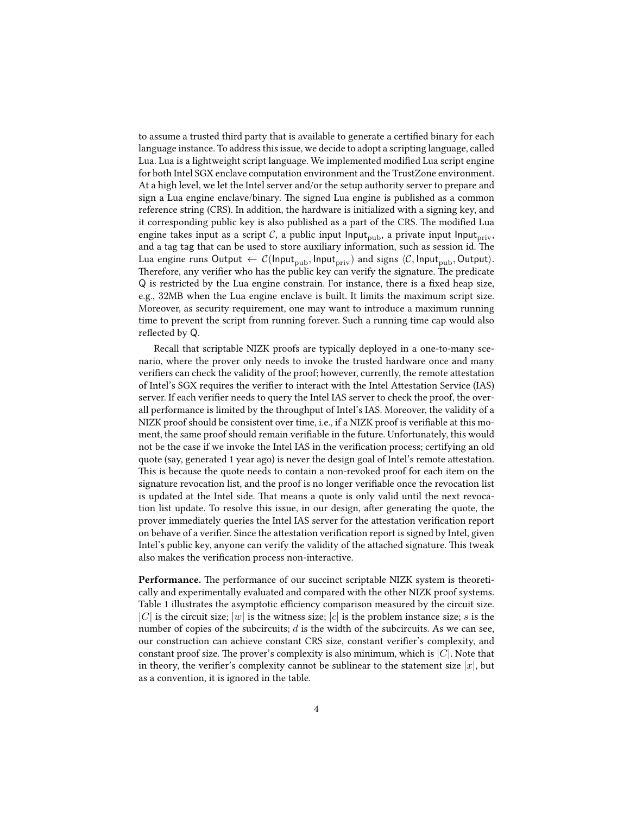to assume a trusted third party that is available to generate a certified binary for each language instance. To address this issue, we decide to adopt a scripting language, called Lua. Lua is a lightweight script language. We implemented modified Lua script engine for both Intel SGX enclave computation environment and the TrustZone environment. At a high level, we let the Intel server and/or the setup authority server to prepare and sign a Lua engine enclave/binary. The signed Lua engine is published as a common reference string (CRS). In addition, the hardware is initialized with a signing key, and it corresponding public key is also published as a part of the CRS. The modified Lua engine takes input as a script  $C$ , a public input Input<sub>pub</sub>, a private input Input<sub>priv</sub>, and a tag tag that can be used to store auxiliary information, such as session id. The Lua engine runs Output  $\leftarrow \mathcal{C}(\mathsf{Input}_{\text{pub}}, \mathsf{Input}_{\text{priv}})$  and signs  $\langle \mathcal{C}, \mathsf{Input}_{\text{pub}}, \mathsf{Output} \rangle$ . Therefore, any verifier who has the public key can verify the signature. The predicate  $Q$  is restricted by the Lua engine constrain. For instance, there is a fixed heap size, e.g., 32MB when the Lua engine enclave is built. It limits the maximum script size. Moreover, as security requirement, one may want to introduce a maximum running time to prevent the script from running forever. Such a running time cap would also reflected by Q.

Recall that scriptable NIZK proofs are typically deployed in a one-to-many scenario, where the prover only needs to invoke the trusted hardware once and many verifiers can check the validity of the proof; however, currently, the remote attestation of Intel's SGX requires the verifier to interact with the Intel Attestation Service (IAS) server. If each verifier needs to query the Intel IAS server to check the proof, the overall performance is limited by the throughput of Intel's IAS. Moreover, the validity of a NIZK proof should be consistent over time, i.e., if a NIZK proof is verifiable at this moment, the same proof should remain verifiable in the future. Unfortunately, this would not be the case if we invoke the Intel IAS in the verification process; certifying an old quote (say, generated 1 year ago) is never the design goal of Intel's remote attestation. This is because the quote needs to contain a non-revoked proof for each item on the signature revocation list, and the proof is no longer veriable once the revocation list is updated at the Intel side. That means a quote is only valid until the next revocation list update. To resolve this issue, in our design, after generating the quote, the prover immediately queries the Intel IAS server for the attestation verification report on behave of a verifier. Since the attestation verification report is signed by Intel, given Intel's public key, anyone can verify the validity of the attached signature. This tweak also makes the verification process non-interactive.

Performance. The performance of our succinct scriptable NIZK system is theoretically and experimentally evaluated and compared with the other NIZK proof systems. Table 1 illustrates the asymptotic efficiency comparison measured by the circuit size. |C| is the circuit size; |w| is the witness size; |c| is the problem instance size; s is the number of copies of the subcircuits;  $d$  is the width of the subcircuits. As we can see, our construction can achieve constant CRS size, constant verifier's complexity, and constant proof size. The prover's complexity is also minimum, which is  $|C|$ . Note that in theory, the verifier's complexity cannot be sublinear to the statement size  $|x|$ , but as a convention, it is ignored in the table.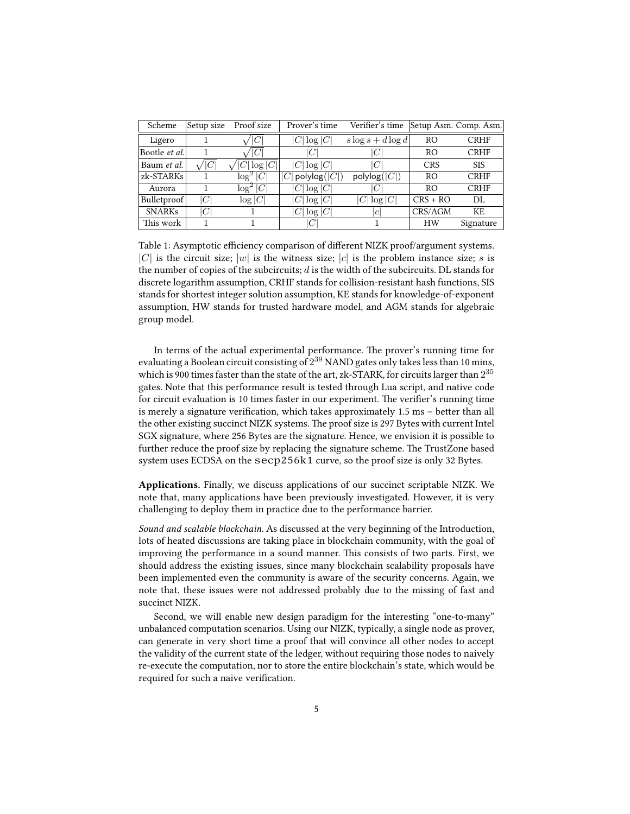| Scheme               | Setup size       | Proof size             | Prover's time         | Verifier's time       |                | Setup Asm. Comp. Asm. |
|----------------------|------------------|------------------------|-----------------------|-----------------------|----------------|-----------------------|
| Ligero               |                  | C                      | $ C \log C $          | $s \log s + d \log d$ | R <sub>O</sub> | <b>CRHF</b>           |
| Bootle <i>et al.</i> |                  | C                      | C                     | C                     | RO             | <b>CRHF</b>           |
| Baum et al.          | $^{\prime} C $   | $\sqrt[1]{\log  C }$ i | $ C \log C $          | ICI                   | <b>CRS</b>     | <b>SIS</b>            |
| zk-STARKs            |                  | $\log^2 C $            | polylog $( C )$<br> C | polylog( C )          | R <sub>O</sub> | <b>CRHF</b>           |
| Aurora               |                  | $\log^2 C $            | $ C \log C $          |                       | R <sub>O</sub> | <b>CRHF</b>           |
| Bulletproof          | ICI              | $\log C $              | $ C \log C $          | $ C \log C $          | $CRS + RO$     | DL                    |
| <b>SNARKs</b>        | $\left C\right $ |                        | $ C \log C $          | c                     | CRS/AGM        | KF.                   |
| This work            |                  |                        | C                     |                       | <b>HW</b>      | Signature             |

Table 1: Asymptotic efficiency comparison of different NIZK proof/argument systems. |C| is the circuit size; |w| is the witness size; |c| is the problem instance size; s is the number of copies of the subcircuits;  $d$  is the width of the subcircuits. DL stands for discrete logarithm assumption, CRHF stands for collision-resistant hash functions, SIS stands for shortest integer solution assumption, KE stands for knowledge-of-exponent assumption, HW stands for trusted hardware model, and AGM stands for algebraic group model.

In terms of the actual experimental performance. The prover's running time for evaluating a Boolean circuit consisting of  $2^{39}$  NAND gates only takes less than 10 mins, which is 900 times faster than the state of the art, zk-STARK, for circuits larger than  $2^{35}$ gates. Note that this performance result is tested through Lua script, and native code for circuit evaluation is 10 times faster in our experiment. The verifier's running time is merely a signature verification, which takes approximately 1.5 ms - better than all the other existing succinct NIZK systems. The proof size is 297 Bytes with current Intel SGX signature, where 256 Bytes are the signature. Hence, we envision it is possible to further reduce the proof size by replacing the signature scheme. The TrustZone based system uses ECDSA on the secp256k1 curve, so the proof size is only 32 Bytes.

Applications. Finally, we discuss applications of our succinct scriptable NIZK. We note that, many applications have been previously investigated. However, it is very challenging to deploy them in practice due to the performance barrier.

Sound and scalable blockchain. As discussed at the very beginning of the Introduction, lots of heated discussions are taking place in blockchain community, with the goal of improving the performance in a sound manner. This consists of two parts. First, we should address the existing issues, since many blockchain scalability proposals have been implemented even the community is aware of the security concerns. Again, we note that, these issues were not addressed probably due to the missing of fast and succinct NIZK.

Second, we will enable new design paradigm for the interesting "one-to-many" unbalanced computation scenarios. Using our NIZK, typically, a single node as prover, can generate in very short time a proof that will convince all other nodes to accept the validity of the current state of the ledger, without requiring those nodes to naively re-execute the computation, nor to store the entire blockchain's state, which would be required for such a naive verification.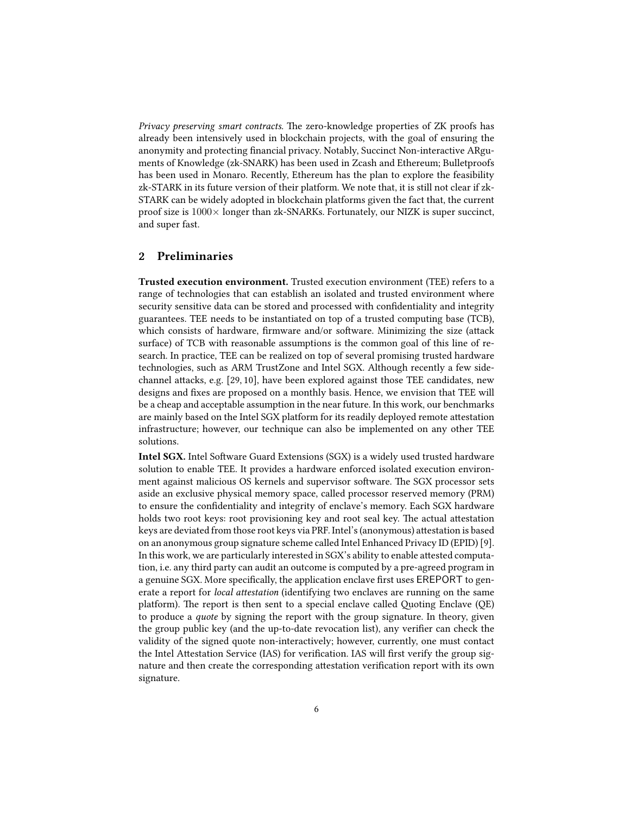Privacy preserving smart contracts. The zero-knowledge properties of ZK proofs has already been intensively used in blockchain projects, with the goal of ensuring the anonymity and protecting financial privacy. Notably, Succinct Non-interactive ARguments of Knowledge (zk-SNARK) has been used in Zcash and Ethereum; Bulletproofs has been used in Monaro. Recently, Ethereum has the plan to explore the feasibility zk-STARK in its future version of their platform. We note that, it is still not clear if zk-STARK can be widely adopted in blockchain platforms given the fact that, the current proof size is  $1000\times$  longer than zk-SNARKs. Fortunately, our NIZK is super succinct, and super fast.

### 2 Preliminaries

Trusted execution environment. Trusted execution environment (TEE) refers to a range of technologies that can establish an isolated and trusted environment where security sensitive data can be stored and processed with confidentiality and integrity guarantees. TEE needs to be instantiated on top of a trusted computing base (TCB), which consists of hardware, firmware and/or software. Minimizing the size (attack surface) of TCB with reasonable assumptions is the common goal of this line of research. In practice, TEE can be realized on top of several promising trusted hardware technologies, such as ARM TrustZone and Intel SGX. Although recently a few sidechannel attacks, e.g.  $[29, 10]$ , have been explored against those TEE candidates, new designs and fixes are proposed on a monthly basis. Hence, we envision that TEE will be a cheap and acceptable assumption in the near future. In this work, our benchmarks are mainly based on the Intel SGX platform for its readily deployed remote attestation infrastructure; however, our technique can also be implemented on any other TEE solutions.

Intel SGX. Intel Software Guard Extensions (SGX) is a widely used trusted hardware solution to enable TEE. It provides a hardware enforced isolated execution environment against malicious OS kernels and supervisor software. The SGX processor sets aside an exclusive physical memory space, called processor reserved memory (PRM) to ensure the confidentiality and integrity of enclave's memory. Each SGX hardware holds two root keys: root provisioning key and root seal key. The actual attestation keys are deviated from those root keys via PRF. Intel's (anonymous) attestation is based on an anonymous group signature scheme called Intel Enhanced Privacy ID (EPID) [9]. In this work, we are particularly interested in SGX's ability to enable attested computation, i.e. any third party can audit an outcome is computed by a pre-agreed program in a genuine SGX. More specifically, the application enclave first uses EREPORT to generate a report for *local attestation* (identifying two enclaves are running on the same platform). The report is then sent to a special enclave called Quoting Enclave (QE) to produce a quote by signing the report with the group signature. In theory, given the group public key (and the up-to-date revocation list), any verifier can check the validity of the signed quote non-interactively; however, currently, one must contact the Intel Attestation Service (IAS) for verification. IAS will first verify the group signature and then create the corresponding attestation verification report with its own signature.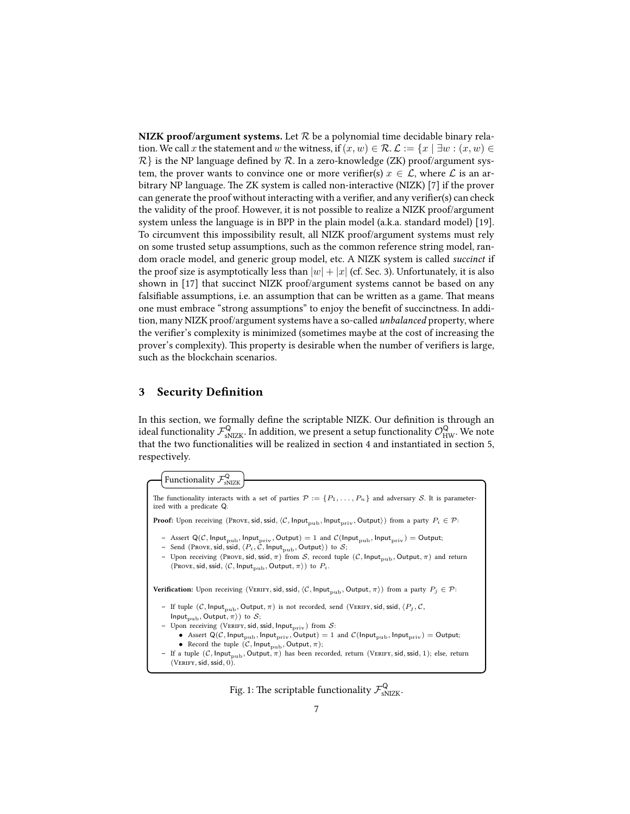NIZK proof/argument systems. Let  $R$  be a polynomial time decidable binary relation. We call x the statement and w the witness, if  $(x, w) \in \mathcal{R}$ .  $\mathcal{L} := \{x \mid \exists w : (x, w) \in$  $\mathcal{R}$  is the NP language defined by  $\mathcal{R}$ . In a zero-knowledge (ZK) proof/argument system, the prover wants to convince one or more verifier(s)  $x \in \mathcal{L}$ , where  $\mathcal L$  is an arbitrary NP language. The ZK system is called non-interactive (NIZK) [7] if the prover can generate the proof without interacting with a verifier, and any verifier(s) can check the validity of the proof. However, it is not possible to realize a NIZK proof/argument system unless the language is in BPP in the plain model (a.k.a. standard model) [19]. To circumvent this impossibility result, all NIZK proof/argument systems must rely on some trusted setup assumptions, such as the common reference string model, random oracle model, and generic group model, etc. A NIZK system is called succinct if the proof size is asymptotically less than  $|w| + |x|$  (cf. Sec. 3). Unfortunately, it is also shown in [17] that succinct NIZK proof/argument systems cannot be based on any falsifiable assumptions, i.e. an assumption that can be written as a game. That means one must embrace "strong assumptions" to enjoy the benefit of succinctness. In addition, many NIZK proof/argument systems have a so-called unbalanced property, where the verifier's complexity is minimized (sometimes maybe at the cost of increasing the prover's complexity). This property is desirable when the number of verifiers is large, such as the blockchain scenarios.

# 3 Security Definition

In this section, we formally define the scriptable NIZK. Our definition is through an ideal functionality  $\mathcal{F}^{\mathsf{Q}}_{\text{sNZK}}$ . In addition, we present a setup functionality  $\mathcal{O}^{\mathsf{Q}}_{\text{HW}}$ . We note that the two functionalities will be realized in section 4 and instantiated in section 5, respectively.

Functionality  $\mathcal{F}_{\text{\tiny{SNIZK}}}^{\textsf{Q}}$ 

```
The functionality interacts with a set of parties \mathcal{P} := \{P_1, \ldots, P_n\} and adversary S. It is parameter-
ized with a predicate Q.
Proof: Upon receiving (Prove, sid, ssid, \langle C, \text{Input}_{\text{pub}}, \text{Input}_{\text{priv}}, \text{Output} \rangle) from a party P_i \in \mathcal{P}:
    – Assert Q(\mathcal{C}, \mathsf{Input}_{pub}, \mathsf{Input}_{priv}, \mathsf{Output}) = 1 and \mathcal{C}(\mathsf{Input}_{pub}, \mathsf{Input}_{priv}) = \mathsf{Output};– Send (Prove, sid, ssid, \langle P_i, \hat{C}, \mathsf{Input}_{\text{pub}}, \mathsf{Output} \rangle) to \mathcal{S};– Upon receiving (Prove, sid, ssid, \pi) from S, record tuple (C, Input<sub>pub</sub>, Output, \pi) and return
        (\text{Prove}, \text{sid}, \text{ssid}, \langle C, \text{Input}_{\text{pub}}, \text{Output}, \pi \rangle) to P_i.
Verification: Upon receiving (VERIFY, sid, ssid, \langle C, \text{Input}_{\text{pub}}, \text{Output}, \pi \rangle) from a party P_j \in \mathcal{P}:
    – If tuple (C, \text{Input}_{\text{pub}}, \text{Output}, \pi) is not recorded, send (VERIFY, sid, ssid, \langle P_j, C, \pi \rangleInput<sub>pub</sub>, Output, \pi) to S;
    - Upon receiving (VERIFY, sid, ssid, Input<sub>priv</sub>) from S:
            • Assert Q(C, Input_{pub}, Input_{priv}, Output) = 1 and C(Input_{pub}, Input_{priv}) = Output;• Record the tuple (C, \text{Input}_{\text{pub}}, \text{Output}, \pi);– If a tuple (C, \text{Input}_{pub}, \text{Output}, \pi) has been recorded, return (VERIFY, sid, ssid, 1); else, return
        (VERIFY, sid, ssid, 0).
```
Fig. 1: The scriptable functionality  $\mathcal{F}_{\text{sNIZK}}^{\textsf{Q}}$ .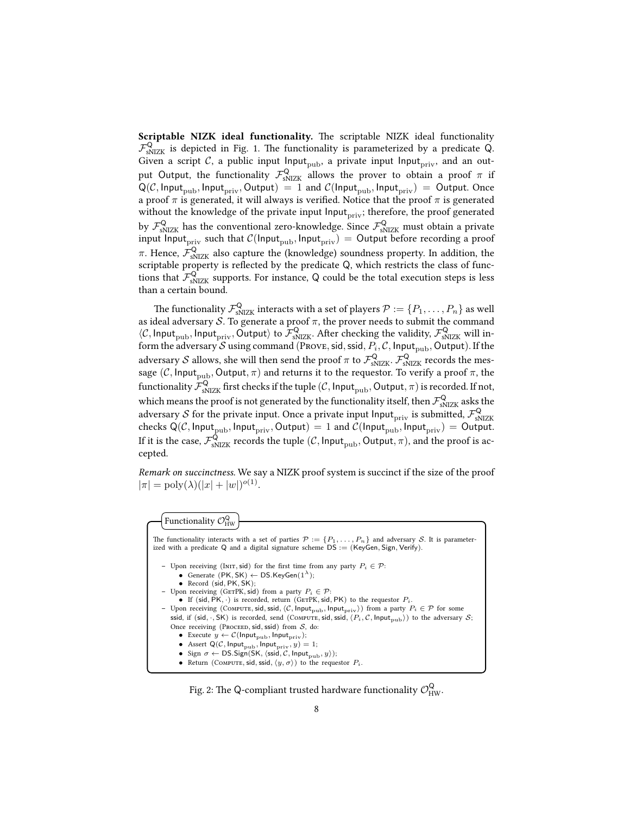Scriptable NIZK ideal functionality. The scriptable NIZK ideal functionality  $\mathcal{F}_{\text{sNIZK}}^{\textsf{Q}}$  is depicted in Fig. 1. The functionality is parameterized by a predicate Q. Given a script  $C$ , a public input Input<sub>pub</sub>, a private input Input<sub>priv</sub>, and an output Output, the functionality  $\mathcal{F}_{\text{sNIZK}}^{\mathsf{Q}}$  allows the prover to obtain a proof  $\pi$  if  $Q(C, Input_{pub}, Input_{priv}, Output) = 1$  and  $C(Input_{pub}, Input_{priv}) = Output$ . Once a proof  $\pi$  is generated, it will always is verified. Notice that the proof  $\pi$  is generated without the knowledge of the private input Input<sub>priv</sub>; therefore, the proof generated by  $\mathcal{F}^{\mathsf{Q}}_{\text{sNIZK}}$  has the conventional zero-knowledge. Since  $\mathcal{F}^{\mathsf{Q}}_{\text{sNIZK}}$  must obtain a private input Input<sub>priv</sub> such that  $C(\text{Input}_{\text{pub}}, \text{Input}_{\text{priv}}) =$  Output before recording a proof  $\pi.$  Hence,  $\mathcal{F}^{\mathsf{Q}}_{\mathrm{sNIZK}}$  also capture the (knowledge) soundness property. In addition, the scriptable property is reflected by the predicate  $Q$ , which restricts the class of functions that  $\mathcal{F}_{sNIZK}^{\mathcal{Q}}$  supports. For instance, Q could be the total execution steps is less than a certain bound.

The functionality  $\mathcal{F}^{\mathsf{Q}}_{\text{sNIZK}}$  interacts with a set of players  $\mathcal{P}:=\{P_1,\ldots,P_n\}$  as well as ideal adversary  $\mathcal S$ . To generate a proof  $\pi$ , the prover needs to submit the command  $\langle C, \text{Input}_{\text{pub}}, \text{Input}_{\text{priv}}, \text{Output} \rangle$  to  $\mathcal{F}_{\text{sNIZK}}^{\text{Q}}$ . After checking the validity,  $\mathcal{F}_{\text{sNIZK}}^{\text{Q}}$  will inform the adversary S using command (PROVE, sid, ssid,  $P_i$ , C, Input<sub>pub</sub>, Output). If the adversary  ${\cal S}$  allows, she will then send the proof  $\pi$  to  $\mathcal{F}^{\mathsf{Q}}_{\rm sNIZK}$ .  $\mathcal{F}^{\mathsf{Q}}_{\rm sNIZK}$  records the message (C, Input<sub>pub</sub>, Output,  $\pi$ ) and returns it to the requestor. To verify a proof  $\pi$ , the functionality  $\mathcal{F}^{\mathsf{Q}}_{\rm sNIZK}$  first checks if the tuple  $(\mathcal{C},$  Input $_{\rm pub},$  Output,  $\pi)$  is recorded. If not, which means the proof is not generated by the functionality itself, then  $\mathcal{F}^{\mathsf{Q}}_{\text{sNZK}}$  asks the adversary  ${\cal S}$  for the private input. Once a private input <code>lnput</code>  $_{\rm priv}$  is submitted,  $\mathcal{F}_{\rm sNIZK}^{\rm Q}$ checks  $Q(C, Input_{pub}, Input_{priv}, Output) = 1$  and  $C(Input_{pub}, Input_{priv}) = Output$ . If it is the case,  $\mathcal{F}^{\mathsf{Q}}_{\rm sNIZK}$  records the tuple  $(\mathcal{C},$  Input $_{\rm pub},$  Output,  $\pi)$ , and the proof is accepted.

Remark on succinctness. We say a NIZK proof system is succinct if the size of the proof  $|\pi| = \text{poly}(\lambda)(|x| + |w|)^{o(1)}.$ 

Functionality  $O$ Q HW

| The functionality interacts with a set of parties $\mathcal{P} := \{P_1, \ldots, P_n\}$ and adversary S. It is parameter-<br>ized with a predicate Q and a digital signature scheme $DS := (KeyGen, Sign, Verify)$ .                                                                                                                                                                                                                                                                                                                                                                                                                                                                                                                                                                                                                                                                                                                                                                                                                                                                        |
|---------------------------------------------------------------------------------------------------------------------------------------------------------------------------------------------------------------------------------------------------------------------------------------------------------------------------------------------------------------------------------------------------------------------------------------------------------------------------------------------------------------------------------------------------------------------------------------------------------------------------------------------------------------------------------------------------------------------------------------------------------------------------------------------------------------------------------------------------------------------------------------------------------------------------------------------------------------------------------------------------------------------------------------------------------------------------------------------|
| - Upon receiving (INIT, sid) for the first time from any party $P_i \in \mathcal{P}$ :<br>• Generate $(PK, SK) \leftarrow DS.KeyGen(1^{\lambda});$<br>• Record (sid, $PK, SK$ );<br>- Upon receiving (GETPK, sid) from a party $P_i \in \mathcal{P}$ :<br>• If (sid, PK, $\cdot$ ) is recorded, return (GETPK, sid, PK) to the requestor $P_i$ .<br>- Upon receiving (COMPUTE, sid, ssid, $\langle C, \text{Input}_{\text{pub}}, \text{Input}_{\text{priv}} \rangle$ ) from a party $P_i \in \mathcal{P}$ for some<br>ssid, if (sid, ., SK) is recorded, send (COMPUTE, sid, ssid, $\langle P_i, C, \text{Input}_{\text{pub}} \rangle$ ) to the adversary $S$ ;<br>Once receiving (PROCEED, sid, ssid) from $S$ , do:<br>• Execute $y \leftarrow \mathcal{C}$ (Input <sub>pub</sub> , Input <sub>priv</sub> );<br>• Assert $Q(C, Input_{\text{pub}}, Input_{\text{priv}}, y) = 1$ ;<br>• Sign $\sigma \leftarrow \text{DS}.Sign(SK, \langle \text{ssid}, C, \text{Input}_{\text{pub}}, y \rangle);$<br>• Return (COMPUTE, sid, ssid, $\langle y, \sigma \rangle$ ) to the requestor $P_i$ . |

Fig. 2: The Q-compliant trusted hardware functionality  $\mathcal{O}^{\mathsf{Q}}_{\mathrm{HW}}.$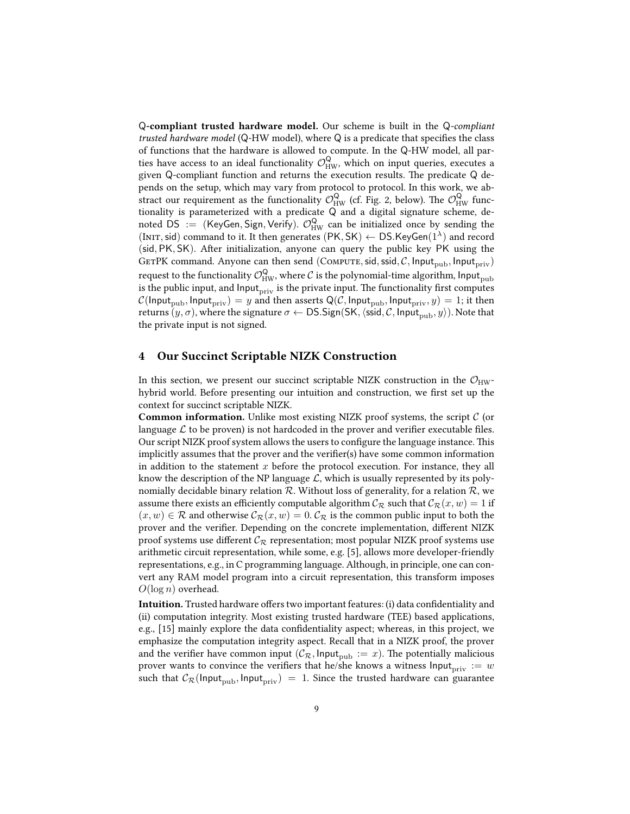Q-compliant trusted hardware model. Our scheme is built in the Q-compliant trusted hardware model ( $Q$ -HW model), where  $Q$  is a predicate that specifies the class of functions that the hardware is allowed to compute. In the Q-HW model, all parties have access to an ideal functionality  $\mathcal{O}_{HW}^{\mathsf{Q}}$ , which on input queries, executes a given Q-compliant function and returns the execution results. The predicate  $Q$  depends on the setup, which may vary from protocol to protocol. In this work, we abstract our requirement as the functionality  $\mathcal{O}^{\mathsf{Q}}_{\mathrm{HW}}$  (cf. Fig. 2, below). The  $\mathcal{O}^{\mathsf{Q}}_{\mathrm{HW}}$  functionality is parameterized with a predicate Q and a digital signature scheme, denoted DS := (KeyGen, Sign, Verify).  $\mathcal{O}_{HW}^Q$  can be initialized once by sending the (INIT, sid) command to it. It then generates (PK, SK)  $\leftarrow$  DS.KeyGen(1<sup> $\lambda$ </sup>) and record  $(sid, PK, SK)$ . After initialization, anyone can query the public key PK using the GETPK command. Anyone can then send (COMPUTE, sid, ssid, C, Input<sub>pub</sub>, Input<sub>priv</sub>) request to the functionality  $\mathcal{O}^{\mathsf{Q}}_{\text{HW}}$ , where  $\mathcal C$  is the polynomial-time algorithm, <code>lnput</code><sub>pub</sub> is the public input, and  $\text{Input}_{\text{priv}}$  is the private input. The functionality first computes  $C(\text{Input}_{\text{pub}}, \text{Input}_{\text{priv}}) = y$  and then asserts Q(C, Input<sub>pub</sub>, Input<sub>priv</sub>,  $y$ ) = 1; it then returns  $(y, \sigma)$ , where the signature  $\sigma \leftarrow \text{DS}.Sign(SK, \langle \text{ssid}, C, \text{Input}_{pub}, y \rangle)$ . Note that the private input is not signed.

#### 4 Our Succinct Scriptable NIZK Construction

In this section, we present our succinct scriptable NIZK construction in the  $\mathcal{O}_{HW}$ hybrid world. Before presenting our intuition and construction, we first set up the context for succinct scriptable NIZK.

**Common information.** Unlike most existing NIZK proof systems, the script  $C$  (or language  $\mathcal L$  to be proven) is not hardcoded in the prover and verifier executable files. Our script NIZK proof system allows the users to configure the language instance. This implicitly assumes that the prover and the verifier(s) have some common information in addition to the statement  $x$  before the protocol execution. For instance, they all know the description of the NP language  $\mathcal{L}$ , which is usually represented by its polynomially decidable binary relation  $R$ . Without loss of generality, for a relation  $R$ , we assume there exists an efficiently computable algorithm  $\mathcal{C}_{\mathcal{R}}$  such that  $\mathcal{C}_{\mathcal{R}}(x, w) = 1$  if  $(x, w) \in \mathcal{R}$  and otherwise  $\mathcal{C}_{\mathcal{R}}(x, w) = 0$ .  $\mathcal{C}_{\mathcal{R}}$  is the common public input to both the prover and the verifier. Depending on the concrete implementation, different NIZK proof systems use different  $C_{\mathcal{R}}$  representation; most popular NIZK proof systems use arithmetic circuit representation, while some, e.g. [5], allows more developer-friendly representations, e.g., in C programming language. Although, in principle, one can convert any RAM model program into a circuit representation, this transform imposes  $O(\log n)$  overhead.

Intuition. Trusted hardware offers two important features: (i) data confidentiality and (ii) computation integrity. Most existing trusted hardware (TEE) based applications, e.g., [15] mainly explore the data confidentiality aspect; whereas, in this project, we emphasize the computation integrity aspect. Recall that in a NIZK proof, the prover and the verifier have common input  $(C_{\mathcal{R}}, \text{Input}_{\text{pub}} := x)$ . The potentially malicious prover wants to convince the verifiers that he/she knows a witness  $\text{Input}_{\text{priv}} := w$ such that  $C_{\mathcal{R}}(\text{Input}_{\text{pub}}, \text{Input}_{\text{priv}}) = 1$ . Since the trusted hardware can guarantee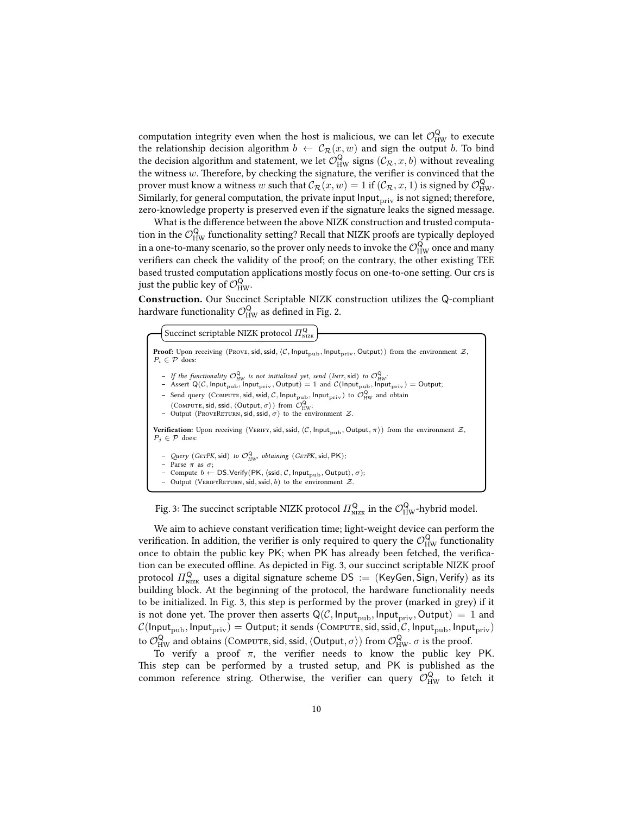computation integrity even when the host is malicious, we can let  $\mathcal{O}^{\mathsf{Q}}_{\mathrm{HW}}$  to execute the relationship decision algorithm  $b \leftarrow C_{\mathcal{R}}(x, w)$  and sign the output b. To bind the decision algorithm and statement, we let  $\mathcal{O}_{HW}^{\mathsf{Q}}$  signs  $(\mathcal{C}_{\mathcal{R}},x,b)$  without revealing the witness  $w$ . Therefore, by checking the signature, the verifier is convinced that the prover must know a witness  $w$  such that  $\mathcal{C}_\mathcal{R}(x,w)=1$  if  $(\mathcal{C}_\mathcal{R},x,1)$  is signed by  $\mathcal{O}^{\mathsf{Q}}_{\mathrm{HW}}.$ Similarly, for general computation, the private input  $\mathsf{Input}_{\text{priv}}$  is not signed; therefore, zero-knowledge property is preserved even if the signature leaks the signed message.

What is the difference between the above NIZK construction and trusted computation in the  $\mathcal{O}^{\mathsf{Q}}_{\mathrm{HW}}$  functionality setting? Recall that NIZK proofs are typically deployed in a one-to-many scenario, so the prover only needs to invoke the  $\mathcal{O}^{\mathsf{Q}}_{\mathrm{HW}}$  once and many verifiers can check the validity of the proof; on the contrary, the other existing TEE based trusted computation applications mostly focus on one-to-one setting. Our crs is just the public key of  $\mathcal{O}_{HW}^{\mathsf{Q}}$ .

Construction. Our Succinct Scriptable NIZK construction utilizes the Q-compliant hardware functionality  $\mathcal{O}^{\mathsf{Q}}_{\mathsf{HW}}$  as defined in Fig. 2.

Succinct scriptable NIZK protocol  $\varPi_{\text{\tiny NLZK}}^{\text{\tiny {Q}}}$ 

**Proof:** Upon receiving (Prove, sid, ssid,  $\langle C, \text{Input}_{\text{pub}}, \text{Input}_{\text{priv}}, \text{Output} \rangle$ ) from the environment  $Z$ ,  $P_i \in \mathcal{P}$  does: - If the functionality  $\mathcal{O}_{HW}^{\mathsf{Q}}$  is not initialized yet, send (INIT,  $\textsf{sid)}$ ) to  $\mathcal{O}_{HW}^{\mathsf{Q}}$ ; – Assert Q(C, Input<sub>pub</sub>, Input<sub>priv</sub>, Output) = 1 and  $\mathcal{C}(\mathsf{Input}_{\text{pub}}, \mathsf{Input}_{\text{priv}}) = \mathsf{Output};$ - Send query (COMPUTE, sid, ssid, C, Input $_{\rm pub}$ , Input $_{\rm priv}$ ) to  $\mathcal{O}_{\rm HW}^{\rm Q}$  and obtain (COMPUTE, sid, ssid,  $\langle$ Output,  $\sigma$  $\rangle$ ) from  $\mathcal{O}_{HW}^{\mathsf{Q}}$ ; - Output (PROVERETURN, sid, ssid,  $\sigma$ ) to the environment  $Z$ . Verification: Upon receiving (VERIFY, sid, ssid,  $\langle C, \text{Input}_{\text{pub}}, \text{Output}, \pi \rangle$ ) from the environment  $Z$ ,  $P_j \in \mathcal{P}$  does: - Query (GETPK, sid) to  $\mathcal{O}_{HW}^{\mathsf{Q}}$ , obtaining (GETPK, sid, PK); – Parse π as σ;<br>
– Compute b ← DS.Verify(PK,  $\langle \text{ssid}, C, \text{Input}_{\text{pub}}, \text{Output} \rangle$ , σ);<br>
– Output (VERIFYRETURN, sid, ssid, b) to the environment Z.

Fig. 3: The succinct scriptable NIZK protocol  $\varPi_{\text{\tiny NLZK}}^{\text{\tiny Q}}$  in the  $\mathcal{O}^{\text{\tiny Q}}_{\text{HW}}$ -hybrid model.

We aim to achieve constant verification time; light-weight device can perform the verification. In addition, the verifier is only required to query the  $\mathcal{O}^{\mathsf{Q}}_{\mathrm{HW}}$  functionality once to obtain the public key PK; when PK has already been fetched, the verification can be executed offline. As depicted in Fig. 3, our succinct scriptable NIZK proof protocol  $\Pi_{\text{NIZK}}^{\text{Q}}$  uses a digital signature scheme DS := (KeyGen, Sign, Verify) as its building block. At the beginning of the protocol, the hardware functionality needs to be initialized. In Fig. 3, this step is performed by the prover (marked in grey) if it is not done yet. The prover then asserts  $Q(\mathcal{C}, \text{Input}_{pub}, \text{Input}_{priv}, \text{Output}) = 1$  and  $\mathcal{C}(\mathsf{Input}_{\text{pub}}, \mathsf{Input}_{\text{priv}}) = \mathsf{Output}_{\text{crit}}$ ; it sends  $(\mathsf{Computer}, \mathsf{sid}, \mathsf{csid}, \mathcal{C}, \mathsf{Input}_{\text{pub}}, \mathsf{Input}_{\text{priv}})$ to  $\mathcal{O}^{\mathsf{Q}}_{\mathrm{HW}}$  and obtains (Сомрите, sid, ssid,  $\langle$ Output,  $\sigma \rangle$ ) from  $\mathcal{O}^{\mathsf{Q}}_{\mathrm{HW}}$ .  $\sigma$  is the proof.

To verify a proof  $\pi$ , the verifier needs to know the public key PK. This step can be performed by a trusted setup, and PK is published as the common reference string. Otherwise, the verifier can query  $\mathcal{O}_{HW}^Q$  to fetch it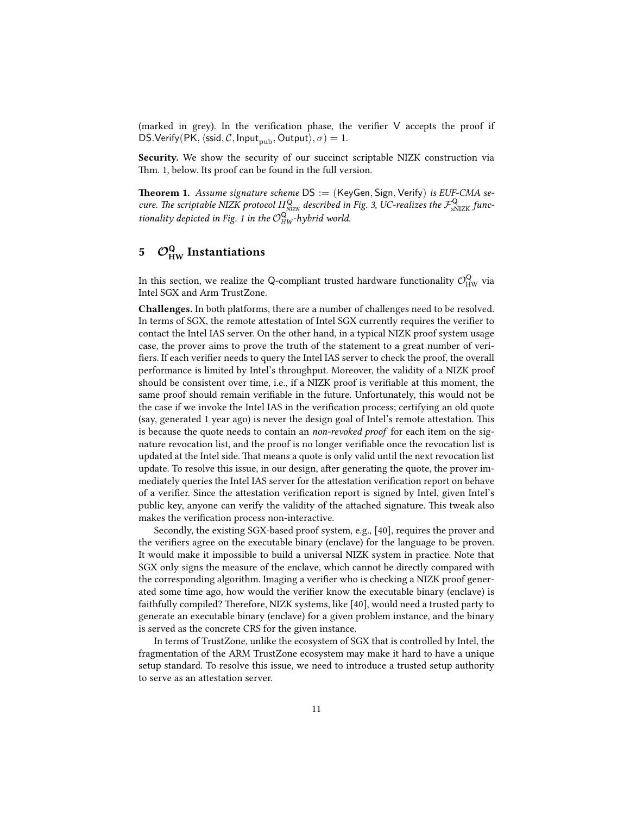(marked in grey). In the verification phase, the verifier  $V$  accepts the proof if DS.Verify(PK,  $\langle \text{ssid}, C, \text{Input}_{\text{pub}}, \text{Output} \rangle, \sigma$ ) = 1.

Security. We show the security of our succinct scriptable NIZK construction via Thm. 1, below. Its proof can be found in the full version.

**Theorem 1.** Assume signature scheme  $DS := (KeyGen, Sign, Verify)$  is EUF-CMA secure. The scriptable NIZK protocol  $\Pi_{\rm NLZK}^{\rm Q}$  described in Fig. 3, UC-realizes the  $\mathcal{F}_{\rm sNLZK}^{\rm Q}$  functionality depicted in Fig. 1 in the  $\mathcal{O}_{HW}^{\mathsf{Q}}$ -hybrid world.

# 5  $\mathcal{O}_{HW}^{\mathsf{Q}}$  Instantiations

In this section, we realize the Q-compliant trusted hardware functionality  $\mathcal{O}^{\mathsf{Q}}_{\mathrm{HW}}$  via Intel SGX and Arm TrustZone.

Challenges. In both platforms, there are a number of challenges need to be resolved. In terms of SGX, the remote attestation of Intel SGX currently requires the verifier to contact the Intel IAS server. On the other hand, in a typical NIZK proof system usage case, the prover aims to prove the truth of the statement to a great number of veri fiers. If each verifier needs to query the Intel IAS server to check the proof, the overall performance is limited by Intel's throughput. Moreover, the validity of a NIZK proof should be consistent over time, i.e., if a NIZK proof is verifiable at this moment, the same proof should remain verifiable in the future. Unfortunately, this would not be the case if we invoke the Intel IAS in the verification process; certifying an old quote (say, generated 1 year ago) is never the design goal of Intel's remote attestation. This is because the quote needs to contain an non-revoked proof for each item on the signature revocation list, and the proof is no longer veriable once the revocation list is updated at the Intel side. That means a quote is only valid until the next revocation list update. To resolve this issue, in our design, after generating the quote, the prover immediately queries the Intel IAS server for the attestation verification report on behave of a verifier. Since the attestation verification report is signed by Intel, given Intel's public key, anyone can verify the validity of the attached signature. This tweak also makes the verification process non-interactive.

Secondly, the existing SGX-based proof system, e.g., [40], requires the prover and the verifiers agree on the executable binary (enclave) for the language to be proven. It would make it impossible to build a universal NIZK system in practice. Note that SGX only signs the measure of the enclave, which cannot be directly compared with the corresponding algorithm. Imaging a verifier who is checking a NIZK proof generated some time ago, how would the verifier know the executable binary (enclave) is faithfully compiled? Therefore, NIZK systems, like [40], would need a trusted party to generate an executable binary (enclave) for a given problem instance, and the binary is served as the concrete CRS for the given instance.

In terms of TrustZone, unlike the ecosystem of SGX that is controlled by Intel, the fragmentation of the ARM TrustZone ecosystem may make it hard to have a unique setup standard. To resolve this issue, we need to introduce a trusted setup authority to serve as an attestation server.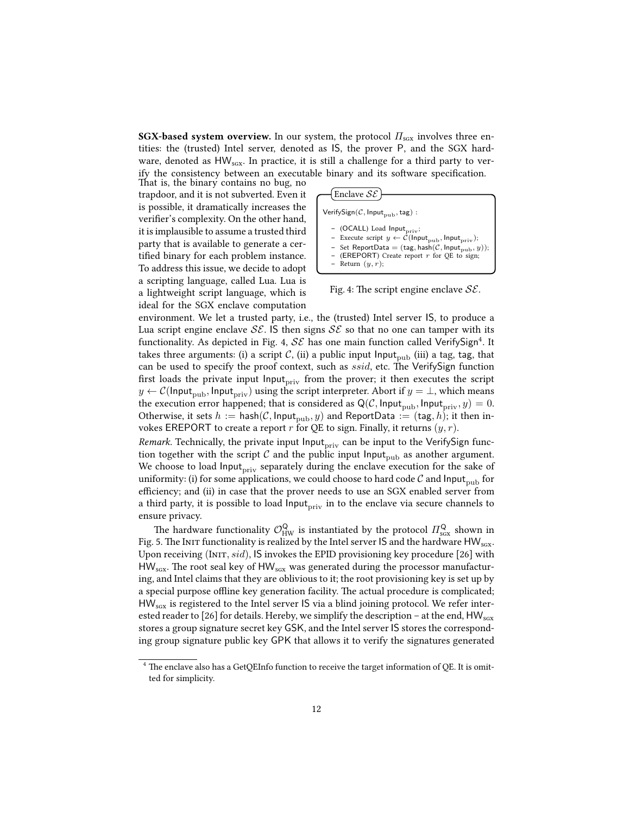SGX-based system overview. In our system, the protocol  $\Pi_{\text{scx}}$  involves three entities: the (trusted) Intel server, denoted as IS, the prover P, and the SGX hardware, denoted as  $HW_{scx}$ . In practice, it is still a challenge for a third party to verify the consistency between an executable binary and its software specification.

That is, the binary contains no bug, no trapdoor, and it is not subverted. Even it is possible, it dramatically increases the verifier's complexity. On the other hand, it is implausible to assume a trusted third party that is available to generate a certified binary for each problem instance. To address this issue, we decide to adopt a scripting language, called Lua. Lua is a lightweight script language, which is ideal for the SGX enclave computation



Fig. 4: The script engine enclave  $\mathcal{SE}$ .

environment. We let a trusted party, i.e., the (trusted) Intel server IS, to produce a Lua script engine enclave  $\mathcal{SE}$ . IS then signs  $\mathcal{SE}$  so that no one can tamper with its functionality. As depicted in Fig. 4,  $\mathcal{SE}$  has one main function called VerifySign<sup>4</sup>. It takes three arguments: (i) a script  $C$ , (ii) a public input Input<sub>pub</sub> (iii) a tag, tag, that can be used to specify the proof context, such as ssid, etc. The VerifySign function first loads the private input  $\text{Input}_{\text{priv}}$  from the prover; it then executes the script  $y \leftarrow \mathcal{C}(\mathsf{Input}_{\text{pub}}, \mathsf{Input}_{\text{priv}})$  using the script interpreter. Abort if  $y = \perp$ , which means the execution error happened; that is considered as  $Q(\mathcal{C}, \text{Input}_{\text{pub}}, \text{Input}_{\text{priv}}, y) = 0.$ Otherwise, it sets  $h := \text{hash}(\mathcal{C}, \text{Input}_{\text{pub}}, y)$  and ReportData := (tag, h); it then invokes EREPORT to create a report  $r$  for QE to sign. Finally, it returns  $(y, r)$ .

*Remark.* Technically, the private input  $\text{Input}_{\text{priv}}$  can be input to the VerifySign function together with the script C and the public input Input<sub>pub</sub> as another argument. We choose to load Input<sub>priv</sub> separately during the enclave execution for the sake of uniformity: (i) for some applications, we could choose to hard code  $\mathcal C$  and  $\mathsf{Input}_{\text{pub}}$  for efficiency; and (ii) in case that the prover needs to use an SGX enabled server from a third party, it is possible to load  $Input_{\text{priv}}$  in to the enclave via secure channels to ensure privacy.

The hardware functionality  $\mathcal{O}^{\mathsf{Q}}_{\mathrm{HW}}$  is instantiated by the protocol  $\varPi^{\mathsf{Q}}_{\mathrm{scx}}$  shown in Fig. 5. The Init functionality is realized by the Intel server IS and the hardware  $HW_{scx}$ . Upon receiving (INIT,  $sid$ ), IS invokes the EPID provisioning key procedure [26] with  $HW_{sgx}$ . The root seal key of HW $_{sgx}$  was generated during the processor manufacturing, and Intel claims that they are oblivious to it; the root provisioning key is set up by a special purpose offline key generation facility. The actual procedure is complicated; HW<sub>sGX</sub> is registered to the Intel server IS via a blind joining protocol. We refer interested reader to [26] for details. Hereby, we simplify the description - at the end,  $HW_{\rm scx}$ stores a group signature secret key GSK, and the Intel server IS stores the corresponding group signature public key GPK that allows it to verify the signatures generated

 $4$  The enclave also has a GetQEInfo function to receive the target information of QE. It is omitted for simplicity.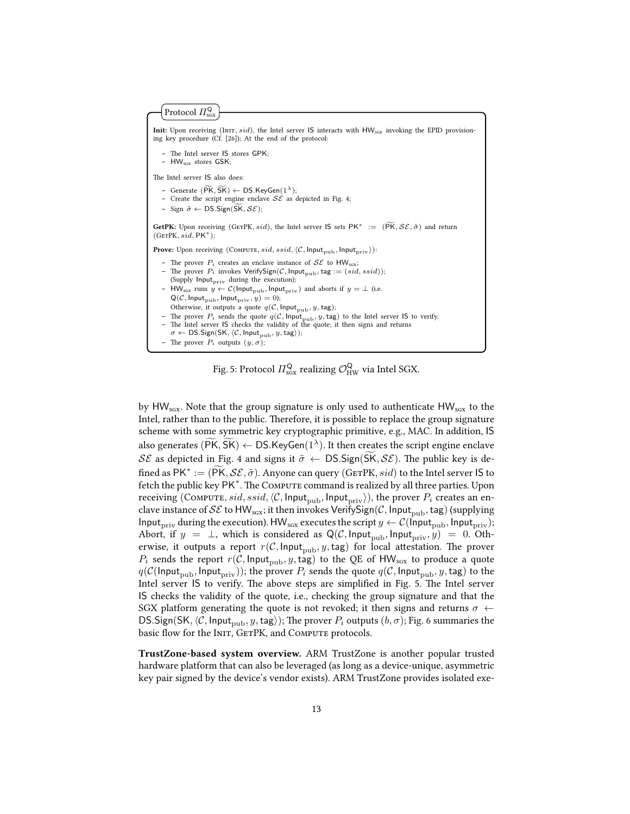```
Init: Upon receiving (INIT, sid), the Intel server IS interacts with HW_{scx} invoking the EPID provision-
ing key procedure (Cf. [26]); At the end of the protocol:
        The Intel server IS stores GPK;
    - HW<sub>sGx</sub> stores GSK;
The Intel server IS also does:
        Generate (\widetilde{\mathsf{PK}}, \widetilde{\mathsf{SK}}) \leftarrow \mathsf{DS}.\mathsf{KeyGen}(1^{\lambda});– Create the script engine enclave \mathcal{SE} as depicted in Fig. 4;
    - Sign \tilde{\sigma} \leftarrow \text{DS}.Sign(\widetilde{SK}, \mathcal{SE});GetPK: Upon receiving (GETPK, sid), the Intel server IS sets PK^* := (\widetilde{PK}, \mathcal{SE}, \tilde{\sigma}) and return
 (GETPK, sid, PK^*);Prove: Upon receiving (COMPUTE, sid, ssid, \langle C, \text{Input}_{\text{pub}}, \text{Input}_{\text{priv}} \rangle):
    – The prover P_i creates an enclave instance of \mathcal{SE} to HW<sub>sgx</sub>;
        The prover P_i invokes \mathsf{VerifySign}(\mathcal{C}, \mathsf{Input}_{\text{pub}}, \mathsf{tag} := (sid, ssid));(Supply \mathsf{Input}_{\text{priv}} during the execution);
     – HW<sub>scx</sub> runs y \leftarrow \mathcal{C}(\text{Input}_{\text{pub}}, \text{Input}_{\text{priv}}) and aborts if y = \perp (i.e.
         Q(\mathcal{C}, \mathsf{Input}_{\text{pub}}, \mathsf{Input}_{\text{priv}}, y) = 0);Otherwise, it outputs a quote q(\mathcal{C}, \mathsf{Input}_{\text{pub}}, y, \mathsf{tag});
        The prover P_i sends the quote q(\mathcal{C}, \mathsf{Input}_{\text{pub}}, y, \text{tag}) to the Intel server IS to verify.
    - The Intel server IS checks the validity of the quote; it then signs and returns
        \sigma \leftarrow \textsf{DS}.Sign(\textsf{SK}, \langle \mathcal{C}, \textsf{Input}_{\texttt{pub}}, y, \texttt{tag} \rangle);– The prover P_i outputs (y, \sigma);
      Protocol \Pi_{\rm sgx}^{\sf Q}
```
Fig. 5: Protocol  $\varPi_{\text{sgx}}^{\textsf{Q}}$  realizing  $\mathcal{O}^{\textsf{Q}}_{\text{HW}}$  via Intel SGX.

by  $HW_{SGX}$ . Note that the group signature is only used to authenticate  $HW_{SGX}$  to the Intel, rather than to the public. Therefore, it is possible to replace the group signature scheme with some symmetric key cryptographic primitive, e.g., MAC. In addition, IS also generates ( $\widetilde{\mathsf{PK}}, \widetilde{\mathsf{SK}}$ )  $\leftarrow$  DS.KeyGen( $1^{\lambda}$ ). It then creates the script engine enclave SE as depicted in Fig. 4 and signs it  $\tilde{\sigma} \leftarrow \text{DS}.Sign(SK, \mathcal{SE})$ . The public key is defined as  $PK^* := (\widetilde{PK}, \mathcal{SE}, \widetilde{\sigma})$ . Anyone can query (GETPK, *sid*) to the Intel server IS to fetch the public key PK<sup>\*</sup>. The Compute command is realized by all three parties. Upon receiving (COMPUTE, sid, ssid,  $\langle C$ , Input<sub>pub</sub>, Input<sub>priv</sub>)), the prover  $P_i$  creates an enclave instance of  $\mathcal{SE}$  to HW<sub>scx</sub>; it then invokes VerifySign(C, Input<sub>pub</sub>, tag) (supplying Input<sub>priv</sub> during the execution). HW<sub>sgx</sub> executes the script  $y \leftarrow \mathcal{C}$ (Input<sub>pub</sub>, Input<sub>priv</sub>); Abort, if  $y = \perp$ , which is considered as Q(C, Input<sub>pub</sub>, Input<sub>priv</sub>, y) = 0. Otherwise, it outputs a report  $r(\mathcal{C}, \mathsf{Input}_{pub}, y, \mathsf{tag})$  for local attestation. The prover  $P_i$  sends the report  $r(\mathcal{C}, \mathsf{Input}_{\text{pub}}, y, \text{tag})$  to the QE of HW<sub>sgx</sub> to produce a quote  $q(\mathcal{C}(\mathsf{Input}_{\text{pub}}, \mathsf{Input}_{\text{priv}}));$  the prover  $P_i$  sends the quote  $q(\mathcal{C}, \mathsf{Input}_{\text{pub}}, y, \text{tag})$  to the Intel server IS to verify. The above steps are simplified in Fig. 5. The Intel server IS checks the validity of the quote, i.e., checking the group signature and that the SGX platform generating the quote is not revoked; it then signs and returns  $\sigma \leftarrow$ DS.Sign(SK,  $\langle C, \text{Input}_{\text{pub}}, y, \text{tag}\rangle$ ); The prover  $P_i$  outputs  $(b, \sigma)$ ; Fig. 6 summaries the basic flow for the INIT, GETPK, and COMPUTE protocols.

TrustZone-based system overview. ARM TrustZone is another popular trusted hardware platform that can also be leveraged (as long as a device-unique, asymmetric key pair signed by the device's vendor exists). ARM TrustZone provides isolated exe-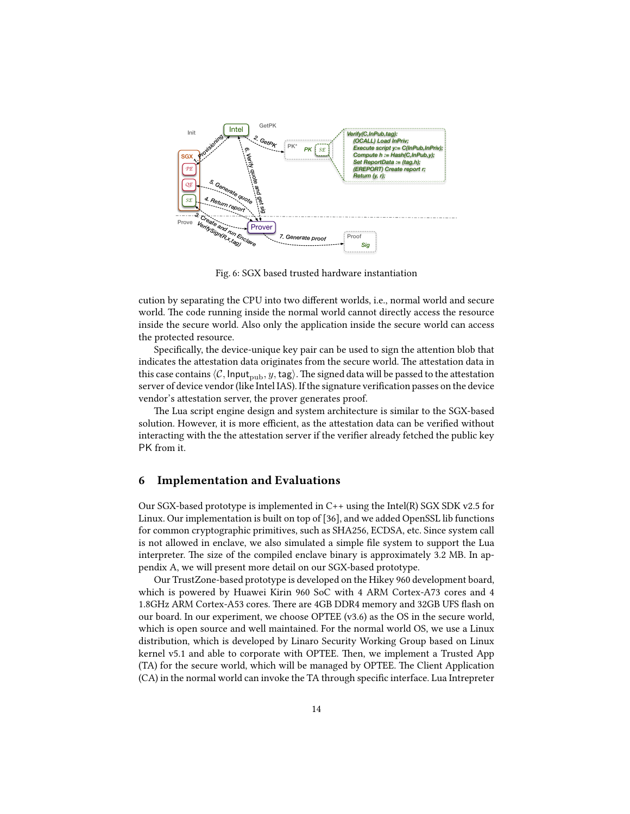

Fig. 6: SGX based trusted hardware instantiation

cution by separating the CPU into two different worlds, i.e., normal world and secure world. The code running inside the normal world cannot directly access the resource inside the secure world. Also only the application inside the secure world can access the protected resource.

Specifically, the device-unique key pair can be used to sign the attention blob that indicates the attestation data originates from the secure world. The attestation data in this case contains  $\langle C, \text{Input}_{\text{pub}}, y, \text{tag}\rangle$ . The signed data will be passed to the attestation server of device vendor (like Intel IAS). If the signature verification passes on the device vendor's attestation server, the prover generates proof.

The Lua script engine design and system architecture is similar to the SGX-based solution. However, it is more efficient, as the attestation data can be verified without interacting with the the attestation server if the verifier already fetched the public key PK from it.

#### 6 Implementation and Evaluations

Our SGX-based prototype is implemented in  $C_{++}$  using the Intel(R) SGX SDK v2.5 for Linux. Our implementation is built on top of [36], and we added OpenSSL lib functions for common cryptographic primitives, such as SHA256, ECDSA, etc. Since system call is not allowed in enclave, we also simulated a simple file system to support the Lua interpreter. The size of the compiled enclave binary is approximately 3.2 MB. In appendix A, we will present more detail on our SGX-based prototype.

Our TrustZone-based prototype is developed on the Hikey 960 development board, which is powered by Huawei Kirin 960 SoC with 4 ARM Cortex-A73 cores and 4 1.8GHz ARM Cortex-A53 cores. There are 4GB DDR4 memory and 32GB UFS flash on our board. In our experiment, we choose OPTEE (v3.6) as the OS in the secure world, which is open source and well maintained. For the normal world OS, we use a Linux distribution, which is developed by Linaro Security Working Group based on Linux kernel v5.1 and able to corporate with OPTEE. Then, we implement a Trusted App (TA) for the secure world, which will be managed by OPTEE. The Client Application (CA) in the normal world can invoke the TA through specific interface. Lua Intrepreter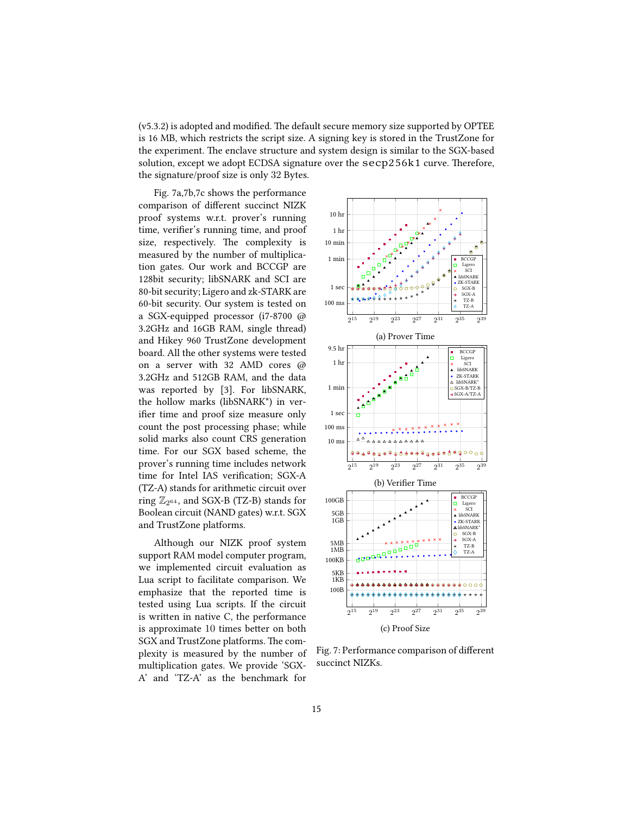$(v5.3.2)$  is adopted and modified. The default secure memory size supported by OPTEE is 16 MB, which restricts the script size. A signing key is stored in the TrustZone for the experiment. The enclave structure and system design is similar to the SGX-based solution, except we adopt ECDSA signature over the  $\secp256k1$  curve. Therefore, the signature/proof size is only 32 Bytes.

Fig. 7a,7b,7c shows the performance comparison of different succinct NIZK proof systems w.r.t. prover's running time, verifier's running time, and proof size, respectively. The complexity is measured by the number of multiplication gates. Our work and BCCGP are 128bit security; libSNARK and SCI are 80-bit security; Ligero and zk-STARK are 60-bit security. Our system is tested on a SGX-equipped processor (i7-8700 @ 3.2GHz and 16GB RAM, single thread) and Hikey 960 TrustZone development board. All the other systems were tested on a server with 32 AMD cores @ 3.2GHz and 512GB RAM, and the data was reported by [3]. For libSNARK, the hollow marks (libSNARK\*) in verifier time and proof size measure only count the post processing phase; while solid marks also count CRS generation time. For our SGX based scheme, the prover's running time includes network time for Intel IAS verification; SGX-A (TZ-A) stands for arithmetic circuit over ring  $\mathbb{Z}_{2^{64}}$ , and SGX-B (TZ-B) stands for Boolean circuit (NAND gates) w.r.t. SGX and TrustZone platforms.

Although our NIZK proof system support RAM model computer program, we implemented circuit evaluation as Lua script to facilitate comparison. We emphasize that the reported time is tested using Lua scripts. If the circuit is written in native C, the performance is approximate 10 times better on both SGX and TrustZone platforms. The complexity is measured by the number of multiplication gates. We provide 'SGX-A' and 'TZ-A' as the benchmark for



Fig. 7: Performance comparison of different succinct NIZKs.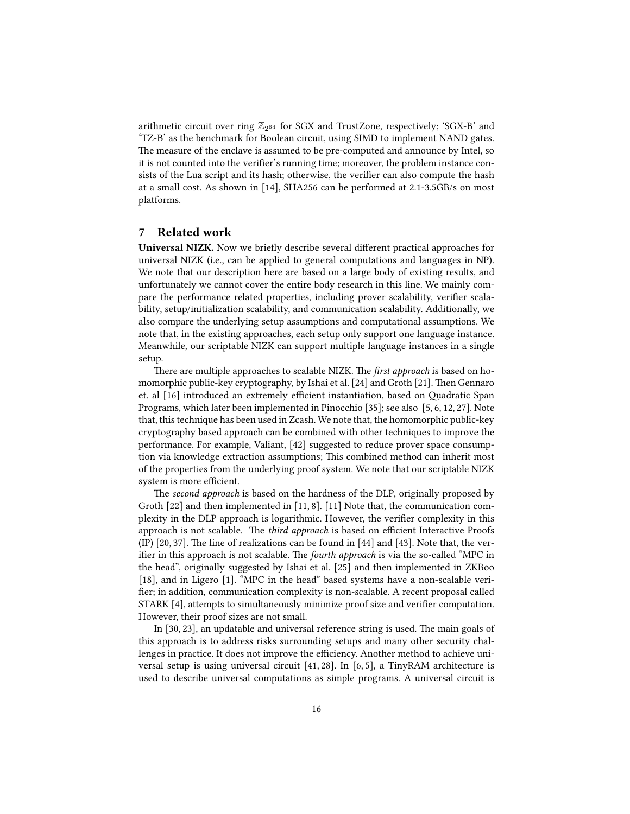arithmetic circuit over ring  $\mathbb{Z}_{2^{64}}$  for SGX and TrustZone, respectively; 'SGX-B' and 'TZ-B' as the benchmark for Boolean circuit, using SIMD to implement NAND gates. The measure of the enclave is assumed to be pre-computed and announce by Intel, so it is not counted into the verifier's running time; moreover, the problem instance consists of the Lua script and its hash; otherwise, the verifier can also compute the hash at a small cost. As shown in [14], SHA256 can be performed at 2.1-3.5GB/s on most platforms.

# 7 Related work

Universal NIZK. Now we briefly describe several different practical approaches for universal NIZK (i.e., can be applied to general computations and languages in NP). We note that our description here are based on a large body of existing results, and unfortunately we cannot cover the entire body research in this line. We mainly compare the performance related properties, including prover scalability, verifier scalability, setup/initialization scalability, and communication scalability. Additionally, we also compare the underlying setup assumptions and computational assumptions. We note that, in the existing approaches, each setup only support one language instance. Meanwhile, our scriptable NIZK can support multiple language instances in a single setup.

There are multiple approaches to scalable NIZK. The *first approach* is based on homomorphic public-key cryptography, by Ishai et al. [24] and Groth [21]. Then Gennaro et. al [16] introduced an extremely efficient instantiation, based on Quadratic Span Programs, which later been implemented in Pinocchio [35]; see also [5, 6, 12, 27]. Note that, this technique has been used in Zcash. We note that, the homomorphic public-key cryptography based approach can be combined with other techniques to improve the performance. For example, Valiant, [42] suggested to reduce prover space consumption via knowledge extraction assumptions; This combined method can inherit most of the properties from the underlying proof system. We note that our scriptable NIZK system is more efficient.

The second approach is based on the hardness of the DLP, originally proposed by Groth [22] and then implemented in [11, 8]. [11] Note that, the communication complexity in the DLP approach is logarithmic. However, the verifier complexity in this approach is not scalable. The third approach is based on efficient Interactive Proofs (IP)  $[20, 37]$ . The line of realizations can be found in  $[44]$  and  $[43]$ . Note that, the verifier in this approach is not scalable. The fourth approach is via the so-called "MPC in the head", originally suggested by Ishai et al. [25] and then implemented in ZKBoo [18], and in Ligero [1]. "MPC in the head" based systems have a non-scalable veri fier; in addition, communication complexity is non-scalable. A recent proposal called STARK [4], attempts to simultaneously minimize proof size and verifier computation. However, their proof sizes are not small.

In  $[30, 23]$ , an updatable and universal reference string is used. The main goals of this approach is to address risks surrounding setups and many other security challenges in practice. It does not improve the efficiency. Another method to achieve universal setup is using universal circuit [41, 28]. In [6, 5], a TinyRAM architecture is used to describe universal computations as simple programs. A universal circuit is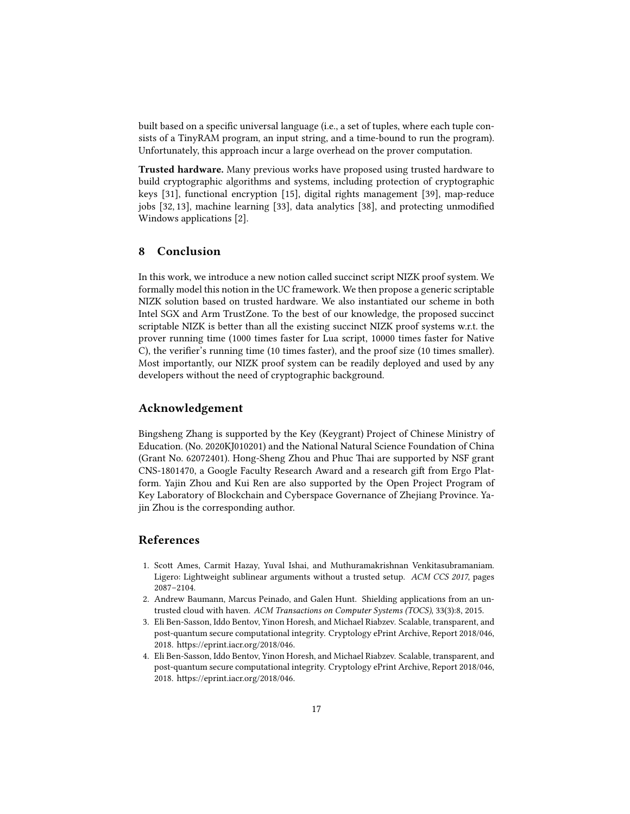built based on a specific universal language (i.e., a set of tuples, where each tuple consists of a TinyRAM program, an input string, and a time-bound to run the program). Unfortunately, this approach incur a large overhead on the prover computation.

Trusted hardware. Many previous works have proposed using trusted hardware to build cryptographic algorithms and systems, including protection of cryptographic keys [31], functional encryption [15], digital rights management [39], map-reduce jobs  $[32, 13]$ , machine learning  $[33]$ , data analytics  $[38]$ , and protecting unmodified Windows applications [2].

# 8 Conclusion

In this work, we introduce a new notion called succinct script NIZK proof system. We formally model this notion in the UC framework. We then propose a generic scriptable NIZK solution based on trusted hardware. We also instantiated our scheme in both Intel SGX and Arm TrustZone. To the best of our knowledge, the proposed succinct scriptable NIZK is better than all the existing succinct NIZK proof systems w.r.t. the prover running time (1000 times faster for Lua script, 10000 times faster for Native C), the verifier's running time (10 times faster), and the proof size (10 times smaller). Most importantly, our NIZK proof system can be readily deployed and used by any developers without the need of cryptographic background.

#### Acknowledgement

Bingsheng Zhang is supported by the Key (Keygrant) Project of Chinese Ministry of Education. (No. 2020KJ010201) and the National Natural Science Foundation of China (Grant No. 62072401). Hong-Sheng Zhou and Phuc Thai are supported by NSF grant CNS-1801470, a Google Faculty Research Award and a research gift from Ergo Platform. Yajin Zhou and Kui Ren are also supported by the Open Project Program of Key Laboratory of Blockchain and Cyberspace Governance of Zhejiang Province. Yajin Zhou is the corresponding author.

# References

- 1. Scott Ames, Carmit Hazay, Yuval Ishai, and Muthuramakrishnan Venkitasubramaniam. Ligero: Lightweight sublinear arguments without a trusted setup. ACM CCS 2017, pages 2087–2104.
- 2. Andrew Baumann, Marcus Peinado, and Galen Hunt. Shielding applications from an untrusted cloud with haven. ACM Transactions on Computer Systems (TOCS), 33(3):8, 2015.
- 3. Eli Ben-Sasson, Iddo Bentov, Yinon Horesh, and Michael Riabzev. Scalable, transparent, and post-quantum secure computational integrity. Cryptology ePrint Archive, Report 2018/046, 2018. https://eprint.iacr.org/2018/046.
- 4. Eli Ben-Sasson, Iddo Bentov, Yinon Horesh, and Michael Riabzev. Scalable, transparent, and post-quantum secure computational integrity. Cryptology ePrint Archive, Report 2018/046, 2018. https://eprint.iacr.org/2018/046.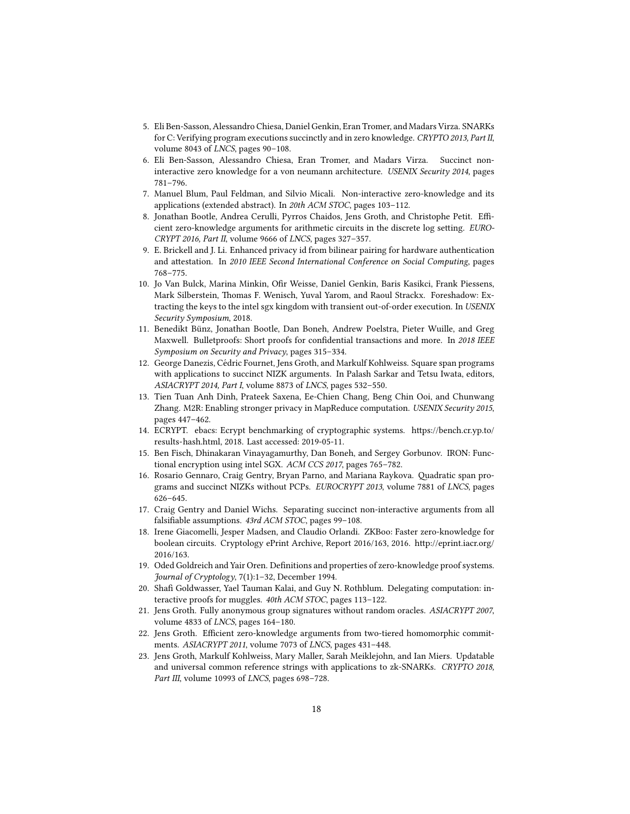- 5. Eli Ben-Sasson, Alessandro Chiesa, Daniel Genkin, Eran Tromer, and Madars Virza. SNARKs for C: Verifying program executions succinctly and in zero knowledge. CRYPTO 2013, Part II, volume 8043 of LNCS, pages 90–108.
- 6. Eli Ben-Sasson, Alessandro Chiesa, Eran Tromer, and Madars Virza. Succinct noninteractive zero knowledge for a von neumann architecture. USENIX Security 2014, pages 781–796.
- 7. Manuel Blum, Paul Feldman, and Silvio Micali. Non-interactive zero-knowledge and its applications (extended abstract). In 20th ACM STOC, pages 103–112.
- 8. Jonathan Bootle, Andrea Cerulli, Pyrros Chaidos, Jens Groth, and Christophe Petit. Efficient zero-knowledge arguments for arithmetic circuits in the discrete log setting. EURO-CRYPT 2016, Part II, volume 9666 of LNCS, pages 327–357.
- 9. E. Brickell and J. Li. Enhanced privacy id from bilinear pairing for hardware authentication and attestation. In 2010 IEEE Second International Conference on Social Computing, pages 768–775.
- 10. Jo Van Bulck, Marina Minkin, Ofir Weisse, Daniel Genkin, Baris Kasikci, Frank Piessens, Mark Silberstein, Thomas F. Wenisch, Yuval Yarom, and Raoul Strackx. Foreshadow: Extracting the keys to the intel sgx kingdom with transient out-of-order execution. In USENIX Security Symposium, 2018.
- 11. Benedikt Bünz, Jonathan Bootle, Dan Boneh, Andrew Poelstra, Pieter Wuille, and Greg Maxwell. Bulletproofs: Short proofs for confidential transactions and more. In 2018 IEEE Symposium on Security and Privacy, pages 315–334.
- 12. George Danezis, Cedric Fournet, Jens Groth, and Markulf Kohlweiss. Square span programs ´ with applications to succinct NIZK arguments. In Palash Sarkar and Tetsu Iwata, editors, ASIACRYPT 2014, Part I, volume 8873 of LNCS, pages 532–550.
- 13. Tien Tuan Anh Dinh, Prateek Saxena, Ee-Chien Chang, Beng Chin Ooi, and Chunwang Zhang. M2R: Enabling stronger privacy in MapReduce computation. USENIX Security 2015, pages 447–462.
- 14. ECRYPT. ebacs: Ecrypt benchmarking of cryptographic systems. https://bench.cr.yp.to/ results-hash.html, 2018. Last accessed: 2019-05-11.
- 15. Ben Fisch, Dhinakaran Vinayagamurthy, Dan Boneh, and Sergey Gorbunov. IRON: Functional encryption using intel SGX. ACM CCS 2017, pages 765–782.
- 16. Rosario Gennaro, Craig Gentry, Bryan Parno, and Mariana Raykova. Quadratic span programs and succinct NIZKs without PCPs. EUROCRYPT 2013, volume 7881 of LNCS, pages 626–645.
- 17. Craig Gentry and Daniel Wichs. Separating succinct non-interactive arguments from all falsifiable assumptions. 43rd ACM STOC, pages 99-108.
- 18. Irene Giacomelli, Jesper Madsen, and Claudio Orlandi. ZKBoo: Faster zero-knowledge for boolean circuits. Cryptology ePrint Archive, Report 2016/163, 2016. http://eprint.iacr.org/ 2016/163.
- 19. Oded Goldreich and Yair Oren. Definitions and properties of zero-knowledge proof systems. Journal of Cryptology, 7(1):1–32, December 1994.
- 20. Shafi Goldwasser, Yael Tauman Kalai, and Guy N. Rothblum. Delegating computation: interactive proofs for muggles. 40th ACM STOC, pages 113–122.
- 21. Jens Groth. Fully anonymous group signatures without random oracles. ASIACRYPT 2007, volume 4833 of LNCS, pages 164–180.
- 22. Jens Groth. Efficient zero-knowledge arguments from two-tiered homomorphic commitments. ASIACRYPT 2011, volume 7073 of LNCS, pages 431–448.
- 23. Jens Groth, Markulf Kohlweiss, Mary Maller, Sarah Meiklejohn, and Ian Miers. Updatable and universal common reference strings with applications to zk-SNARKs. CRYPTO 2018, Part III, volume 10993 of LNCS, pages 698-728.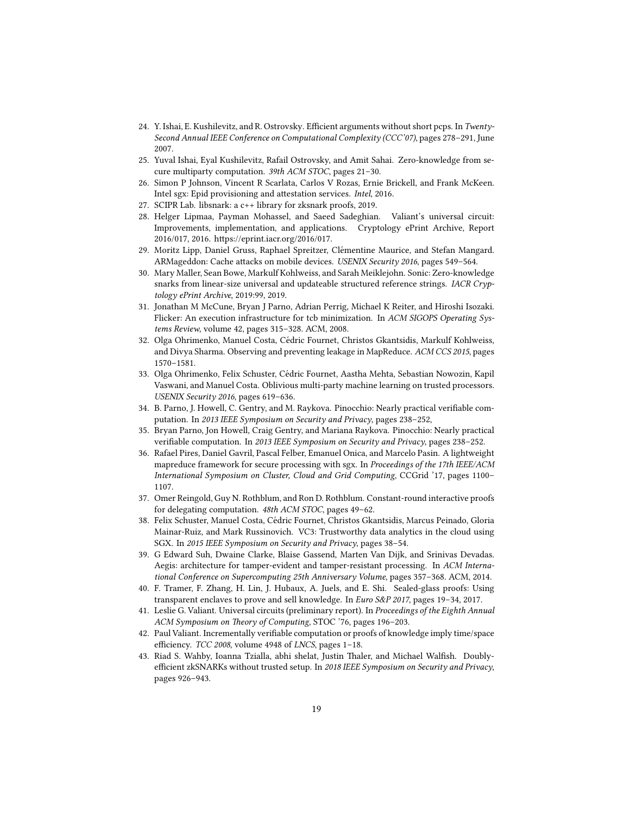- 24. Y. Ishai, E. Kushilevitz, and R. Ostrovsky. Efficient arguments without short pcps. In Twenty-Second Annual IEEE Conference on Computational Complexity (CCC'07), pages 278–291, June 2007.
- 25. Yuval Ishai, Eyal Kushilevitz, Rafail Ostrovsky, and Amit Sahai. Zero-knowledge from secure multiparty computation. 39th ACM STOC, pages 21–30.
- 26. Simon P Johnson, Vincent R Scarlata, Carlos V Rozas, Ernie Brickell, and Frank McKeen. Intel sgx: Epid provisioning and attestation services. Intel, 2016.
- 27. SCIPR Lab. libsnark: a c++ library for zksnark proofs, 2019.
- 28. Helger Lipmaa, Payman Mohassel, and Saeed Sadeghian. Valiant's universal circuit: Improvements, implementation, and applications. Cryptology ePrint Archive, Report 2016/017, 2016. https://eprint.iacr.org/2016/017.
- 29. Moritz Lipp, Daniel Gruss, Raphael Spreitzer, Clémentine Maurice, and Stefan Mangard. ARMageddon: Cache attacks on mobile devices. USENIX Security 2016, pages 549-564.
- 30. Mary Maller, Sean Bowe, Markulf Kohlweiss, and Sarah Meiklejohn. Sonic: Zero-knowledge snarks from linear-size universal and updateable structured reference strings. IACR Cryptology ePrint Archive, 2019:99, 2019.
- 31. Jonathan M McCune, Bryan J Parno, Adrian Perrig, Michael K Reiter, and Hiroshi Isozaki. Flicker: An execution infrastructure for tcb minimization. In ACM SIGOPS Operating Systems Review, volume 42, pages 315–328. ACM, 2008.
- 32. Olga Ohrimenko, Manuel Costa, Cedric Fournet, Christos Gkantsidis, Markulf Kohlweiss, ´ and Divya Sharma. Observing and preventing leakage in MapReduce. ACM CCS 2015, pages 1570–1581.
- 33. Olga Ohrimenko, Felix Schuster, Cedric Fournet, Aastha Mehta, Sebastian Nowozin, Kapil ´ Vaswani, and Manuel Costa. Oblivious multi-party machine learning on trusted processors. USENIX Security 2016, pages 619–636.
- 34. B. Parno, J. Howell, C. Gentry, and M. Raykova. Pinocchio: Nearly practical verifiable computation. In 2013 IEEE Symposium on Security and Privacy, pages 238–252,
- 35. Bryan Parno, Jon Howell, Craig Gentry, and Mariana Raykova. Pinocchio: Nearly practical verifiable computation. In 2013 IEEE Symposium on Security and Privacy, pages 238-252.
- 36. Rafael Pires, Daniel Gavril, Pascal Felber, Emanuel Onica, and Marcelo Pasin. A lightweight mapreduce framework for secure processing with sgx. In Proceedings of the 17th IEEE/ACM International Symposium on Cluster, Cloud and Grid Computing, CCGrid '17, pages 1100– 1107.
- 37. Omer Reingold, Guy N. Rothblum, and Ron D. Rothblum. Constant-round interactive proofs for delegating computation. 48th ACM STOC, pages 49–62.
- 38. Felix Schuster, Manuel Costa, Cedric Fournet, Christos Gkantsidis, Marcus Peinado, Gloria ´ Mainar-Ruiz, and Mark Russinovich. VC3: Trustworthy data analytics in the cloud using SGX. In 2015 IEEE Symposium on Security and Privacy, pages 38–54.
- 39. G Edward Suh, Dwaine Clarke, Blaise Gassend, Marten Van Dijk, and Srinivas Devadas. Aegis: architecture for tamper-evident and tamper-resistant processing. In ACM International Conference on Supercomputing 25th Anniversary Volume, pages 357–368. ACM, 2014.
- 40. F. Tramer, F. Zhang, H. Lin, J. Hubaux, A. Juels, and E. Shi. Sealed-glass proofs: Using transparent enclaves to prove and sell knowledge. In Euro S&P 2017, pages 19–34, 2017.
- 41. Leslie G. Valiant. Universal circuits (preliminary report). In Proceedings of the Eighth Annual ACM Symposium on Theory of Computing, STOC '76, pages 196-203.
- 42. Paul Valiant. Incrementally verifiable computation or proofs of knowledge imply time/space efficiency. TCC 2008, volume 4948 of LNCS, pages 1-18.
- 43. Riad S. Wahby, Ioanna Tzialla, abhi shelat, Justin Thaler, and Michael Walfish. Doublyefficient zkSNARKs without trusted setup. In 2018 IEEE Symposium on Security and Privacy, pages 926–943.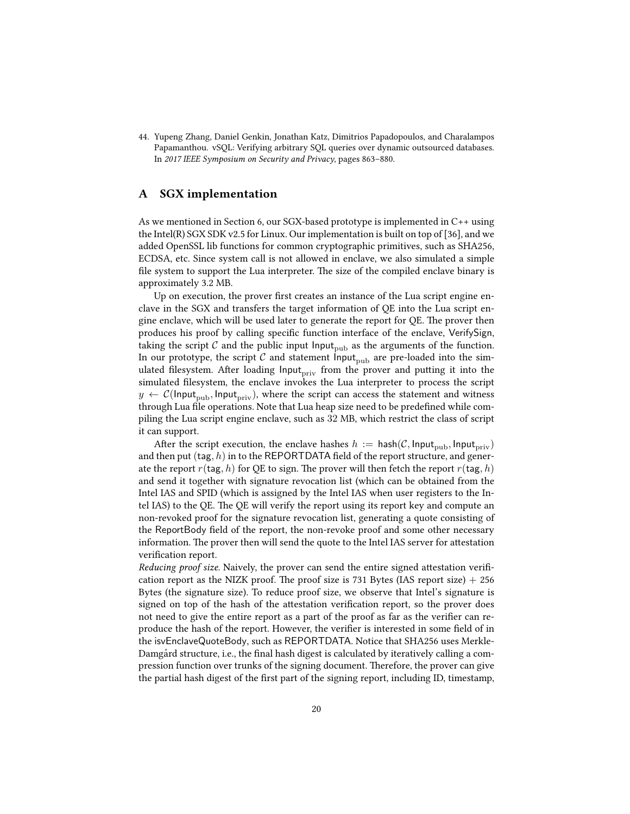44. Yupeng Zhang, Daniel Genkin, Jonathan Katz, Dimitrios Papadopoulos, and Charalampos Papamanthou. vSQL: Verifying arbitrary SQL queries over dynamic outsourced databases. In 2017 IEEE Symposium on Security and Privacy, pages 863–880.

# A SGX implementation

As we mentioned in Section 6, our SGX-based prototype is implemented in C++ using the Intel(R) SGX SDK v2.5 for Linux. Our implementation is built on top of [36], and we added OpenSSL lib functions for common cryptographic primitives, such as SHA256, ECDSA, etc. Since system call is not allowed in enclave, we also simulated a simple file system to support the Lua interpreter. The size of the compiled enclave binary is approximately 3.2 MB.

Up on execution, the prover first creates an instance of the Lua script engine enclave in the SGX and transfers the target information of QE into the Lua script engine enclave, which will be used later to generate the report for QE. The prover then produces his proof by calling specific function interface of the enclave, VerifySign, taking the script  $C$  and the public input Input<sub>pub</sub> as the arguments of the function. In our prototype, the script  $\mathcal C$  and statement Input<sub>pub</sub> are pre-loaded into the simulated filesystem. After loading Input<sub>priv</sub> from the prover and putting it into the simulated filesystem, the enclave invokes the Lua interpreter to process the script  $y \leftarrow \mathcal{C}(\mathsf{Input}_{\text{pub}}, \mathsf{Input}_{\text{priv}})$ , where the script can access the statement and witness through Lua file operations. Note that Lua heap size need to be predefined while compiling the Lua script engine enclave, such as 32 MB, which restrict the class of script it can support.

After the script execution, the enclave hashes  $h := \mathsf{hash}(\mathcal{C}, \mathsf{Input}_{\text{pub}}, \mathsf{Input}_{\text{priv}})$ and then put  $(\textsf{tag}, h)$  in to the REPORTDATA field of the report structure, and generate the report  $r(\text{tag}, h)$  for QE to sign. The prover will then fetch the report  $r(\text{tag}, h)$ and send it together with signature revocation list (which can be obtained from the Intel IAS and SPID (which is assigned by the Intel IAS when user registers to the Intel IAS) to the QE. The QE will verify the report using its report key and compute an non-revoked proof for the signature revocation list, generating a quote consisting of the ReportBody field of the report, the non-revoke proof and some other necessary information. The prover then will send the quote to the Intel IAS server for attestation verification report.

Reducing proof size. Naively, the prover can send the entire signed attestation verification report as the NIZK proof. The proof size is 731 Bytes (IAS report size)  $+256$ Bytes (the signature size). To reduce proof size, we observe that Intel's signature is signed on top of the hash of the attestation verification report, so the prover does not need to give the entire report as a part of the proof as far as the verifier can reproduce the hash of the report. However, the verifier is interested in some field of in the isvEnclaveQuoteBody, such as REPORTDATA. Notice that SHA256 uses Merkle-Damgard structure, i.e., the final hash digest is calculated by iteratively calling a compression function over trunks of the signing document. Therefore, the prover can give the partial hash digest of the first part of the signing report, including ID, timestamp,